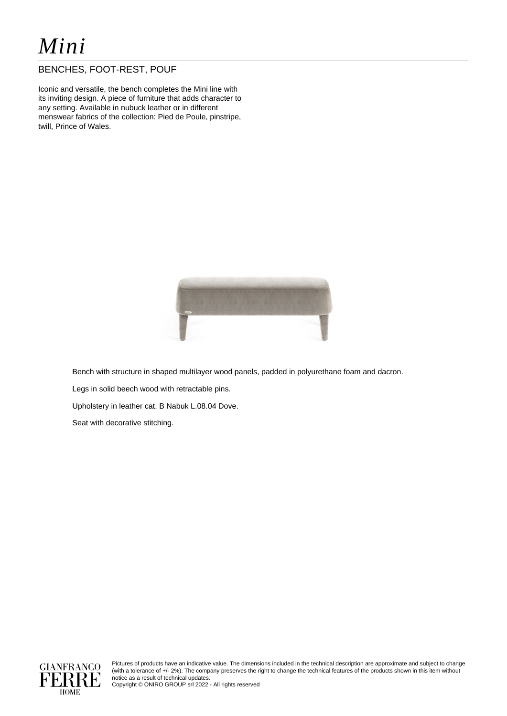# *Mini*

## BENCHES, FOOT-REST, POUF

Iconic and versatile, the bench completes the Mini line with its inviting design. A piece of furniture that adds character to any setting. Available in nubuck leather or in different menswear fabrics of the collection: Pied de Poule, pinstripe, twill, Prince of Wales.



Bench with structure in shaped multilayer wood panels, padded in polyurethane foam and dacron.

Legs in solid beech wood with retractable pins.

Upholstery in leather cat. B Nabuk L.08.04 Dove.

Seat with decorative stitching.



Pictures of products have an indicative value. The dimensions included in the technical description are approximate and subject to change (with a tolerance of +/- 2%). The company preserves the right to change the technical features of the products shown in this item without notice as a result of technical updates.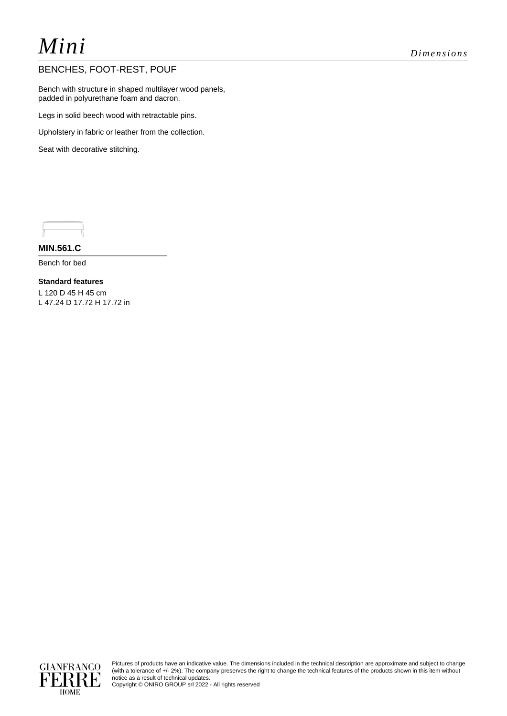# *Mini Dimensions*

## BENCHES, FOOT-REST, POUF

Bench with structure in shaped multilayer wood panels, padded in polyurethane foam and dacron.

Legs in solid beech wood with retractable pins.

Upholstery in fabric or leather from the collection.

Seat with decorative stitching.

**MIN.561.C**

Bench for bed

**Standard features** L 120 D 45 H 45 cm L 47.24 D 17.72 H 17.72 in



Pictures of products have an indicative value. The dimensions included in the technical description are approximate and subject to change (with a tolerance of +/- 2%). The company preserves the right to change the technical features of the products shown in this item without notice as a result of technical updates.